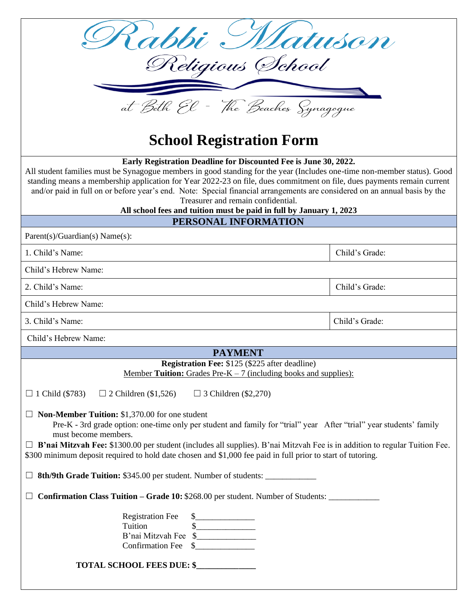| Kabbi Matuson                                                                                                                                                                                                                                                                                                                                                                                                                                                                                                                                                      |                |  |
|--------------------------------------------------------------------------------------------------------------------------------------------------------------------------------------------------------------------------------------------------------------------------------------------------------------------------------------------------------------------------------------------------------------------------------------------------------------------------------------------------------------------------------------------------------------------|----------------|--|
| Religious School                                                                                                                                                                                                                                                                                                                                                                                                                                                                                                                                                   |                |  |
| at Beth El - The Beaches Synagogue                                                                                                                                                                                                                                                                                                                                                                                                                                                                                                                                 |                |  |
| <b>School Registration Form</b>                                                                                                                                                                                                                                                                                                                                                                                                                                                                                                                                    |                |  |
| Early Registration Deadline for Discounted Fee is June 30, 2022.<br>All student families must be Synagogue members in good standing for the year (Includes one-time non-member status). Good<br>standing means a membership application for Year 2022-23 on file, dues commitment on file, dues payments remain current<br>and/or paid in full on or before year's end. Note: Special financial arrangements are considered on an annual basis by the<br>Treasurer and remain confidential.<br>All school fees and tuition must be paid in full by January 1, 2023 |                |  |
| PERSONAL INFORMATION                                                                                                                                                                                                                                                                                                                                                                                                                                                                                                                                               |                |  |
| $Parent(s)/Guardian(s) Name(s)$ :                                                                                                                                                                                                                                                                                                                                                                                                                                                                                                                                  |                |  |
| 1. Child's Name:                                                                                                                                                                                                                                                                                                                                                                                                                                                                                                                                                   | Child's Grade: |  |
| Child's Hebrew Name:                                                                                                                                                                                                                                                                                                                                                                                                                                                                                                                                               |                |  |
| 2. Child's Name:                                                                                                                                                                                                                                                                                                                                                                                                                                                                                                                                                   | Child's Grade: |  |
| Child's Hebrew Name:                                                                                                                                                                                                                                                                                                                                                                                                                                                                                                                                               |                |  |
| 3. Child's Name:                                                                                                                                                                                                                                                                                                                                                                                                                                                                                                                                                   | Child's Grade: |  |
| Child's Hebrew Name:                                                                                                                                                                                                                                                                                                                                                                                                                                                                                                                                               |                |  |
| <b>PAYMENT</b>                                                                                                                                                                                                                                                                                                                                                                                                                                                                                                                                                     |                |  |
| <b>Registration Fee: \$125 (\$225 after deadline)</b><br><u>Member Tuition: Grades Pre-K – 7 (including books and supplies):</u>                                                                                                                                                                                                                                                                                                                                                                                                                                   |                |  |
| $\Box$ 1 Child (\$783)<br>$\Box$ 2 Children (\$1,526)<br>$\Box$ 3 Children (\$2,270)                                                                                                                                                                                                                                                                                                                                                                                                                                                                               |                |  |
| $\Box$ <b>Non-Member Tuition:</b> \$1,370.00 for one student<br>Pre-K - 3rd grade option: one-time only per student and family for "trial" year After "trial" year students' family<br>must become members.<br>$\Box$ B'nai Mitzvah Fee: \$1300.00 per student (includes all supplies). B'nai Mitzvah Fee is in addition to regular Tuition Fee.<br>\$300 minimum deposit required to hold date chosen and \$1,000 fee paid in full prior to start of tutoring.                                                                                                    |                |  |
| <b>8th/9th Grade Tuition:</b> \$345.00 per student. Number of students: _______________                                                                                                                                                                                                                                                                                                                                                                                                                                                                            |                |  |
| <b>Confirmation Class Tuition – Grade 10: \$268.00 per student. Number of Students:</b>                                                                                                                                                                                                                                                                                                                                                                                                                                                                            |                |  |
| <b>Registration Fee</b><br>$\frac{1}{2}$<br>$\begin{picture}(20,20) \put(0,0){\line(1,0){100}} \put(15,0){\line(1,0){100}} \put(15,0){\line(1,0){100}} \put(15,0){\line(1,0){100}} \put(15,0){\line(1,0){100}} \put(15,0){\line(1,0){100}} \put(15,0){\line(1,0){100}} \put(15,0){\line(1,0){100}} \put(15,0){\line(1,0){100}} \put(15,0){\line(1,0){100}} \put(15,0){\line(1,0){100}} \$<br>Tuition<br>B'nai Mitzvah Fee \$______________<br><b>Confirmation Fee</b><br><b>TOTAL SCHOOL FEES DUE: \$____________</b>                                              |                |  |
|                                                                                                                                                                                                                                                                                                                                                                                                                                                                                                                                                                    |                |  |